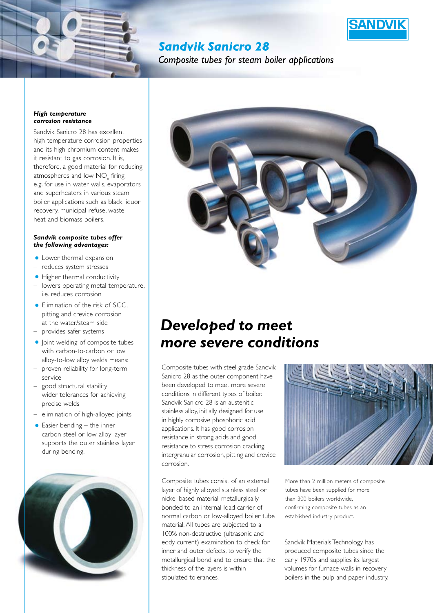

# **Sandvik Sanicro 28**

Combosite tubes for steam boiler abblications

#### *High temperature corrosion resistance*

Sandvik Sanicro 28 has excellent high temperature corrosion properties and its high chromium content makes it resistant to gas corrosion. It is, therefore, a good material for reducing atmospheres and low  $\mathrm{NO}_{\mathrm{x}}$  firing, e.g. for use in water walls, evaporators and superheaters in various steam boiler applications such as black liquor recovery, municipal refuse, waste heat and biomass boilers.

## *Sandvik composite tubes offer the following advantages:*

- Lower thermal expansion
- reduces system stresses
- Higher thermal conductivity
- lowers operating metal temperature, i.e. reduces corrosion
- Elimination of the risk of SCC, pitting and crevice corrosion at the water/steam side – provides safer systems
- Joint welding of composite tubes with carbon-to-carbon or low alloy-to-low alloy welds means:
- proven reliability for long-term service
- good structural stability
- wider tolerances for achieving precise welds
- elimination of high-alloyed joints
- $\bullet$  Easier bending the inner carbon steel or low alloy layer supports the outer stainless layer during bending.





# *Developed to meet more severe conditions*

Composite tubes with steel grade Sandvik Sanicro 28 as the outer component have been developed to meet more severe conditions in different types of boiler. Sandvik Sanicro 28 is an austenitic stainless alloy, initially designed for use in highly corrosive phosphoric acid applications. It has good corrosion resistance in strong acids and good resistance to stress corrosion cracking, intergranular corrosion, pitting and crevice corrosion.

Composite tubes consist of an external layer of highly alloyed stainless steel or nickel based material, metallurgically bonded to an internal load carrier of normal carbon or low-alloyed boiler tube material. All tubes are subjected to a 100% non-destructive (ultrasonic and eddy current) examination to check for inner and outer defects, to verify the metallurgical bond and to ensure that the thickness of the layers is within stipulated tolerances.



More than 2 million meters of composite tubes have been supplied for more than 300 boilers worldwide, confirming composite tubes as an established industry product.

Sandvik Materials Technology has produced composite tubes since the early 1970s and supplies its largest volumes for furnace walls in recovery boilers in the pulp and paper industry.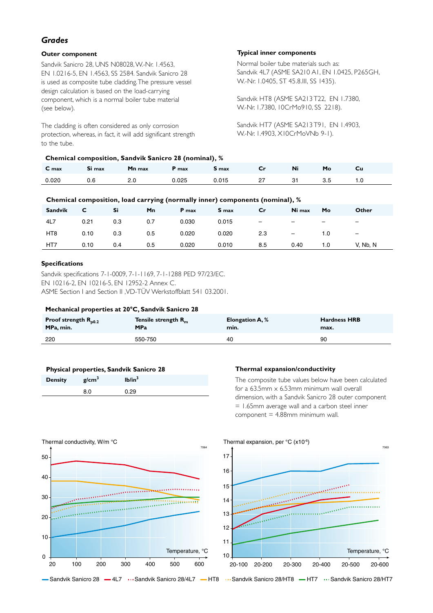## *Grades*

## **Outer component**

Sandvik Sanicro 28, UNS N08028, W.-Nr. 1.4563, EN 1.0216-5, EN 1.4563, SS 2584. Sandvik Sanicro 28 is used as composite tube cladding. The pressure vessel design calculation is based on the load-carrying component, which is a normal boiler tube material (see below).

The cladding is often considered as only corrosion protection, whereas, in fact, it will add significant strength to the tube.

## **Chemical composition, Sandvik Sanicro 28 (nominal), %**

## **Typical inner components**

Normal boiler tube materials such as: Sandvik 4L7 (ASME SA210 A1, EN 1.0425, P265GH, W.-Nr. 1.0405, ST 45.8.III, SS 1435).

Sandvik HT8 (ASME SA213 T22, EN 1.7380, W.-Nr. 1.7380, 10CrMo910, SS 2218).

Sandvik HT7 (ASME SA213 T91, EN 1.4903, W.-Nr. 1.4903, X10CrMoVNb 9-1).

| C <sub>max</sub> | Si max | Mn max | P max | <b>S</b> max | $\mathbf{C}_{\mathbf{r}}$ | Ni |  |
|------------------|--------|--------|-------|--------------|---------------------------|----|--|
| 0.020            |        | 2.0    | 0.025 | 0.015        |                           |    |  |

## **Chemical composition, load carrying (normally inner) components (nominal), %**

| <b>Sandvik</b>  | C.   | Si  | Mn  | P max | <b>S</b> max | $\mathsf{c}$ r           | Ni max                   | Mo  | Other                    |
|-----------------|------|-----|-----|-------|--------------|--------------------------|--------------------------|-----|--------------------------|
| 4L7             | 0.21 | 0.3 | 0.7 | 0.030 | 0.015        | $\overline{\phantom{a}}$ | $\overline{\phantom{0}}$ | -   | $\overline{\phantom{0}}$ |
| HT <sub>8</sub> | 0.10 | 0.3 | 0.5 | 0.020 | 0.020        | 2.3                      | $\overline{\phantom{m}}$ | 1.0 | $\overline{\phantom{m}}$ |
| HT <sub>7</sub> | 0.10 | 0.4 | 0.5 | 0.020 | 0.010        | 8.5                      | 0.40                     | 1.0 | V, Nb, N                 |

## **Specifications**

Sandvik specifications 7-1-0009, 7-1-1169, 7-1-1288 PED 97/23/EC. EN 10216-2, EN 10216-5, EN 12952-2 Annex C. ASME Section I and Section II ,VD-TÜV Werkstoffblatt 541 03.2001.

## **Mechanical properties at 20°C, Sandvik Sanicro 28**

| Proof strength $R_{p0.2}$ | Tensile strength $R_{m}$ | <b>Elongation A, %</b> | <b>Hardness HRB</b> |
|---------------------------|--------------------------|------------------------|---------------------|
| MPa, min.                 | <b>MPa</b>               | min.                   | max.                |
| 220                       | 550-750                  | 40                     | 90                  |

| Physical properties, Sandvik Sanicro 28 |                   |                    |  |  |  |
|-----------------------------------------|-------------------|--------------------|--|--|--|
| <b>Density</b>                          | g/cm <sup>3</sup> | Ib/in <sup>3</sup> |  |  |  |
|                                         | 8.0               | 0.29               |  |  |  |
|                                         |                   |                    |  |  |  |

## **Thermal expansion/conductivity**

The composite tube values below have been calculated for a 63.5mm  $\times$  6.53mm minimum wall overall dimension, with a Sandvik Sanicro 28 outer component = 1.65mm average wall and a carbon steel inner  $component = 4.88$ mm minimum wall.



Sandvik Sanicro 28 -4L7 ··· Sandvik Sanicro 28/4L7 - HT8 ··· Sandvik Sanicro 28/HT8 - HT7 ··· Sandvik Sanicro 28/HT7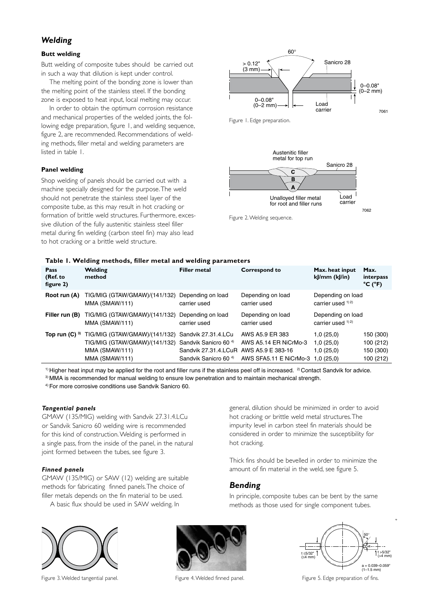## *Welding*

## **Butt welding**

Butt welding of composite tubes should be carried out in such a way that dilution is kept under control.

The melting point of the bonding zone is lower than the melting point of the stainless steel. If the bonding zone is exposed to heat input, local melting may occur.

In order to obtain the optimum corrosion resistance and mechanical properties of the welded joints, the following edge preparation, figure 1, and welding sequence, figure 2, are recommended. Recommendations of welding methods, filler metal and welding parameters are listed in table 1.

## **Panel welding**

Shop welding of panels should be carried out with a machine specially designed for the purpose. The weld should not penetrate the stainless steel layer of the composite tube, as this may result in hot cracking or formation of brittle weld structures. Furthermore, excessive dilution of the fully austenitic stainless steel filler metal during fin welding (carbon steel fin) may also lead to hot cracking or a brittle weld structure.



Figure 1. Edge preparation.



Figure 2. Welding sequence.

## **Table 1. Welding methods, filler metal and welding parameters**

| Pass<br>(Ref. to<br>figure 2) | Welding<br>method                                                                                  | . .<br>Filler metal                                                                                                 | <b>Correspond to</b>                                                                    | Max. heat input<br>kJ/mm (kJ/in)                 | Max.<br>interpass<br>$^{\circ}$ C ( $^{\circ}$ F) |
|-------------------------------|----------------------------------------------------------------------------------------------------|---------------------------------------------------------------------------------------------------------------------|-----------------------------------------------------------------------------------------|--------------------------------------------------|---------------------------------------------------|
| Root run (A)                  | TIG/MIG (GTAW/GMAW)/(141/132)<br>MMA (SMAW/111)                                                    | Depending on load<br>carrier used                                                                                   | Depending on load<br>carrier used                                                       | Depending on load<br>carrier used $1/2$          |                                                   |
| Filler run (B)                | TIG/MIG (GTAW/GMAW)/(141/132) Depending on load<br>MMA (SMAW/111)                                  | carrier used                                                                                                        | Depending on load<br>carrier used                                                       | Depending on load<br>carrier used $1/2$          |                                                   |
| Top run $(C)$ 3)              | TIG/MIG (GTAW/GMAW)/(141/132)<br>TIG/MIG (GTAW/GMAW)/(141/132)<br>MMA (SMAW/111)<br>MMA (SMAW/111) | Sandvik 27.31.4.LCu<br>Sandvik Sanicro 60 <sup>4)</sup><br>Sandvik 27.31.4.LCuR<br>Sandvik Sanicro 60 <sup>4)</sup> | AWS A5.9 ER 383<br>AWS A5.14 ER NiCrMo-3<br>AWS A5.9 E 383-16<br>AWS SFA5.11 E NiCrMo-3 | 1,0(25,0)<br>1,0(25,0)<br>1,0(25,0)<br>1,0(25,0) | 150 (300)<br>100 (212)<br>150 (300)<br>100 (212)  |

 $1)$  Higher heat input may be applied for the root and filler runs if the stainless peel off is increased. <sup>2</sup> Contact Sandvik for advice.

3) MMA is recommended for manual welding to ensure low penetration and to maintain mechanical strength.

4) For more corrosive conditions use Sandvik Sanicro 60.

## *Tangential panels*

GMAW (135/MIG) welding with Sandvik 27.31.4.LCu or Sandvik Sanicro 60 welding wire is recommended for this kind of construction. Welding is performed in a single pass, from the inside of the panel, in the natural joint formed between the tubes, see figure 3.

## *Finned panels*

GMAW (135/MIG) or SAW (12) welding are suitable methods for fabricating finned panels. The choice of filler metals depends on the fin material to be used.

A basic flux should be used in SAW welding. In



Figure 3. Welded tangential panel.



general, dilution should be minimized in order to avoid hot cracking or brittle weld metal structures. The impurity level in carbon steel fin materials should be considered in order to minimize the susceptibility for hot cracking.

Thick fins should be bevelled in order to minimize the amount of fin material in the weld, see figure 5.

## *Bending*

In principle, composite tubes can be bent by the same methods as those used for single component tubes.



Figure 4. Welded finned panel. The state of fins. Figure 5. Edge preparation of fins.